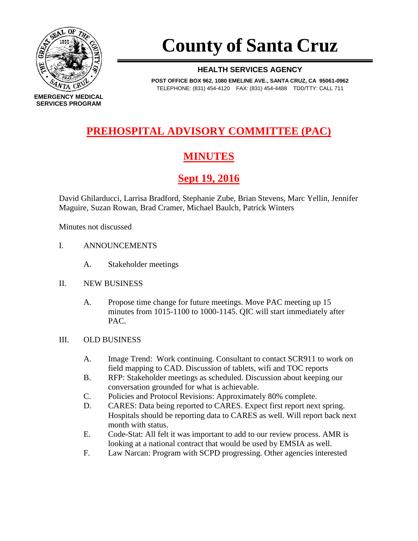

# **County of Santa Cruz**

#### **HEALTH SERVICES AGENCY**

**POST OFFICE BOX 962, 1080 EMELINE AVE., SANTA CRUZ, CA 95061-0962** TELEPHONE: (831) 454-4120 FAX: (831) 454-4488 TDD/TTY: CALL 711

## **PREHOSPITAL ADVISORY COMMITTEE (PAC)**

## **MINUTES**

## **Sept 19, 2016**

David Ghilarducci, Larrisa Bradford, Stephanie Zube, Brian Stevens, Marc Yellin, Jennifer Maguire, Suzan Rowan, Brad Cramer, Michael Baulch, Patrick Winters

Minutes not discussed

- I. ANNOUNCEMENTS
	- A. Stakeholder meetings
- II. NEW BUSINESS
	- A. Propose time change for future meetings. Move PAC meeting up 15 minutes from 1015-1100 to 1000-1145. QIC will start immediately after PAC.

#### III. OLD BUSINESS

- A. Image Trend: Work continuing. Consultant to contact SCR911 to work on field mapping to CAD. Discussion of tablets, wifi and TOC reports
- B. RFP: Stakeholder meetings as scheduled. Discussion about keeping our conversation grounded for what is achievable.
- C. Policies and Protocol Revisions: Approximately 80% complete.
- D. CARES: Data being reported to CARES. Expect first report next spring. Hospitals should be reporting data to CARES as well. Will report back next month with status.
- E. Code-Stat: All felt it was important to add to our review process. AMR is looking at a national contract that would be used by EMSIA as well.
- F. Law Narcan: Program with SCPD progressing. Other agencies interested

**EMERGENCY MEDICAL SERVICES PROGRAM**